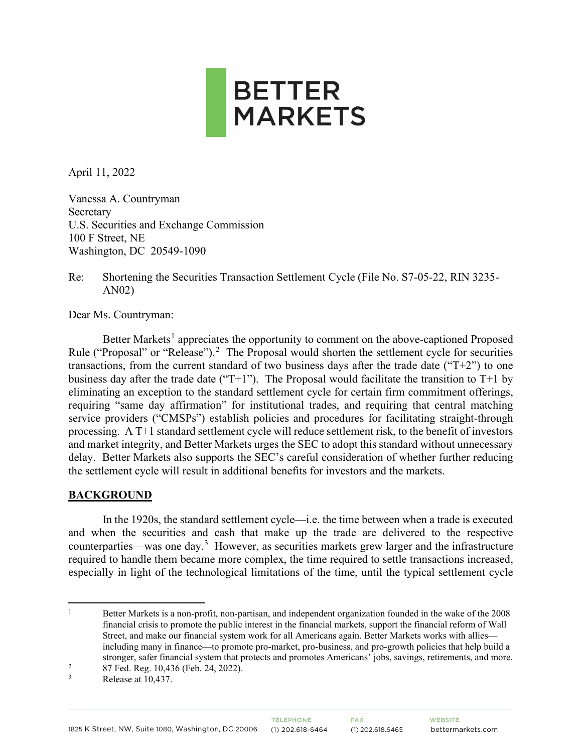

April 11, 2022

Vanessa A. Countryman Secretary U.S. Securities and Exchange Commission 100 F Street, NE Washington, DC 20549-1090

Re: Shortening the Securities Transaction Settlement Cycle (File No. S7-05-22, RIN 3235- AN02)

Dear Ms. Countryman:

Better Markets<sup>[1](#page-0-0)</sup> appreciates the opportunity to comment on the above-captioned Proposed Rule ("Proposal" or "Release").<sup>[2](#page-0-1)</sup> The Proposal would shorten the settlement cycle for securities transactions, from the current standard of two business days after the trade date (" $T+2$ ") to one business day after the trade date ("T+1"). The Proposal would facilitate the transition to T+1 by eliminating an exception to the standard settlement cycle for certain firm commitment offerings, requiring "same day affirmation" for institutional trades, and requiring that central matching service providers ("CMSPs") establish policies and procedures for facilitating straight-through processing. A T+1 standard settlement cycle will reduce settlement risk, to the benefit of investors and market integrity, and Better Markets urges the SEC to adopt this standard without unnecessary delay. Better Markets also supports the SEC's careful consideration of whether further reducing the settlement cycle will result in additional benefits for investors and the markets.

## **BACKGROUND**

In the 1920s, the standard settlement cycle—i.e. the time between when a trade is executed and when the securities and cash that make up the trade are delivered to the respective counterparties—was one day.<sup>[3](#page-0-2)</sup> However, as securities markets grew larger and the infrastructure required to handle them became more complex, the time required to settle transactions increased, especially in light of the technological limitations of the time, until the typical settlement cycle

<span id="page-0-0"></span><sup>1</sup> Better Markets is a non-profit, non-partisan, and independent organization founded in the wake of the 2008 financial crisis to promote the public interest in the financial markets, support the financial reform of Wall Street, and make our financial system work for all Americans again. Better Markets works with allies including many in finance—to promote pro-market, pro-business, and pro-growth policies that help build a stronger, safer financial system that protects and promotes Americans' jobs, savings, retirements, and more.

<span id="page-0-1"></span><sup>2</sup> 87 Fed. Reg. 10,436 (Feb. 24, 2022).

<span id="page-0-2"></span><sup>3</sup> Release at 10,437.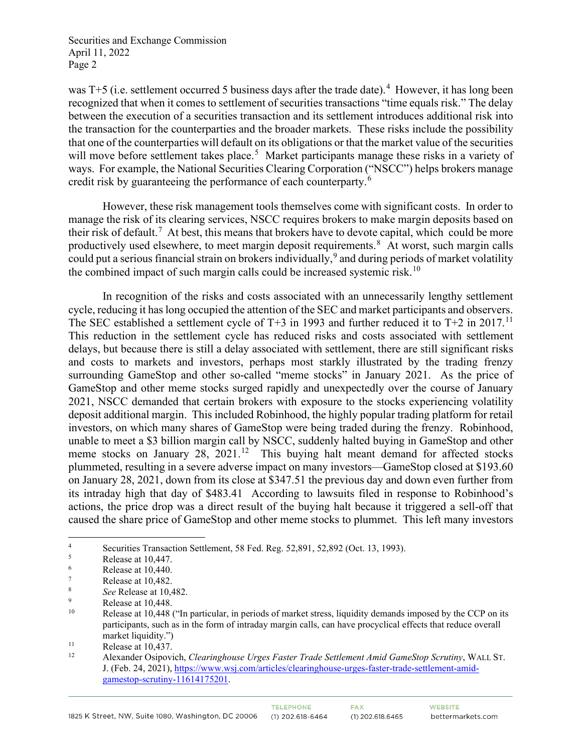was T+5 (i.e. settlement occurred 5 business days after the trade date).<sup>[4](#page-1-0)</sup> However, it has long been recognized that when it comes to settlement of securities transactions "time equals risk." The delay between the execution of a securities transaction and its settlement introduces additional risk into the transaction for the counterparties and the broader markets. These risks include the possibility that one of the counterparties will default on its obligations or that the market value of the securities will move before settlement takes place.<sup>[5](#page-1-1)</sup> Market participants manage these risks in a variety of ways. For example, the National Securities Clearing Corporation ("NSCC") helps brokers manage credit risk by guaranteeing the performance of each counterparty.<sup>[6](#page-1-2)</sup>

However, these risk management tools themselves come with significant costs. In order to manage the risk of its clearing services, NSCC requires brokers to make margin deposits based on their risk of default.<sup>[7](#page-1-3)</sup> At best, this means that brokers have to devote capital, which could be more productively used elsewhere, to meet margin deposit requirements.<sup>[8](#page-1-4)</sup> At worst, such margin calls could put a serious financial strain on brokers individually,  $9$  and during periods of market volatility the combined impact of such margin calls could be increased systemic risk.<sup>[10](#page-1-6)</sup>

In recognition of the risks and costs associated with an unnecessarily lengthy settlement cycle, reducing it has long occupied the attention of the SEC and market participants and observers. The SEC established a settlement cycle of  $T+3$  in 1993 and further reduced it to  $T+2$  in 2017.<sup>[11](#page-1-7)</sup> This reduction in the settlement cycle has reduced risks and costs associated with settlement delays, but because there is still a delay associated with settlement, there are still significant risks and costs to markets and investors, perhaps most starkly illustrated by the trading frenzy surrounding GameStop and other so-called "meme stocks" in January 2021. As the price of GameStop and other meme stocks surged rapidly and unexpectedly over the course of January 2021, NSCC demanded that certain brokers with exposure to the stocks experiencing volatility deposit additional margin. This included Robinhood, the highly popular trading platform for retail investors, on which many shares of GameStop were being traded during the frenzy. Robinhood, unable to meet a \$3 billion margin call by NSCC, suddenly halted buying in GameStop and other meme stocks on January  $28$ ,  $2021$ .<sup>[12](#page-1-8)</sup> This buying halt meant demand for affected stocks plummeted, resulting in a severe adverse impact on many investors—GameStop closed at \$193.60 on January 28, 2021, down from its close at \$347.51 the previous day and down even further from its intraday high that day of \$483.41 According to lawsuits filed in response to Robinhood's actions, the price drop was a direct result of the buying halt because it triggered a sell-off that caused the share price of GameStop and other meme stocks to plummet. This left many investors

**TELEPHONE** 

**FAX** 

<span id="page-1-0"></span><sup>4</sup> Securities Transaction Settlement, 58 Fed. Reg. 52,891, 52,892 (Oct. 13, 1993).

<span id="page-1-1"></span><sup>5</sup> Release at 10,447.

<span id="page-1-2"></span><sup>6</sup> Release at 10,440.

<span id="page-1-3"></span><sup>7</sup> Release at 10,482.

<span id="page-1-4"></span><sup>8</sup> *See* Release at 10,482.

<span id="page-1-5"></span><sup>9</sup>  $\frac{9}{10}$  Release at 10,448.

<span id="page-1-6"></span>Release at 10,448 ("In particular, in periods of market stress, liquidity demands imposed by the CCP on its participants, such as in the form of intraday margin calls, can have procyclical effects that reduce overall market liquidity.")<br>
Release at 10,437.<br>
<sup>12</sup> Alexander Osinovic

<span id="page-1-8"></span><span id="page-1-7"></span>

<sup>12</sup> Alexander Osipovich, *Clearinghouse Urges Faster Trade Settlement Amid GameStop Scrutiny*, WALL ST. J. (Feb. 24, 2021)[, https://www.wsj.com/articles/clearinghouse-urges-faster-trade-settlement-amid](https://www.wsj.com/articles/clearinghouse-urges-faster-trade-settlement-amid-gamestop-scrutiny-11614175201)[gamestop-scrutiny-11614175201.](https://www.wsj.com/articles/clearinghouse-urges-faster-trade-settlement-amid-gamestop-scrutiny-11614175201)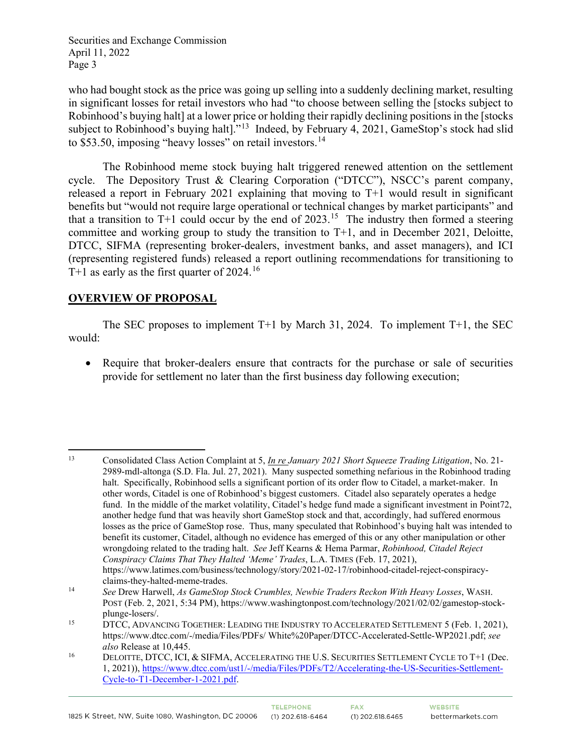who had bought stock as the price was going up selling into a suddenly declining market, resulting in significant losses for retail investors who had "to choose between selling the [stocks subject to Robinhood's buying halt] at a lower price or holding their rapidly declining positions in the [stocks subject to Robinhood's buying halt]."<sup>[13](#page-2-0)</sup> Indeed, by February 4, 2021, GameStop's stock had slid to \$53.50, imposing "heavy losses" on retail investors. $14$ 

The Robinhood meme stock buying halt triggered renewed attention on the settlement cycle. The Depository Trust & Clearing Corporation ("DTCC"), NSCC's parent company, released a report in February 2021 explaining that moving to T+1 would result in significant benefits but "would not require large operational or technical changes by market participants" and that a transition to T+1 could occur by the end of  $2023$ .<sup>[15](#page-2-2)</sup> The industry then formed a steering committee and working group to study the transition to T+1, and in December 2021, Deloitte, DTCC, SIFMA (representing broker-dealers, investment banks, and asset managers), and ICI (representing registered funds) released a report outlining recommendations for transitioning to T+1 as early as the first quarter of 2024.<sup>[16](#page-2-3)</sup>

## **OVERVIEW OF PROPOSAL**

The SEC proposes to implement  $T+1$  by March 31, 2024. To implement  $T+1$ , the SEC would:

• Require that broker-dealers ensure that contracts for the purchase or sale of securities provide for settlement no later than the first business day following execution;

<span id="page-2-0"></span><sup>13</sup> Consolidated Class Action Complaint at 5, *In re January 2021 Short Squeeze Trading Litigation*, No. 21- 2989-mdl-altonga (S.D. Fla. Jul. 27, 2021). Many suspected something nefarious in the Robinhood trading halt. Specifically, Robinhood sells a significant portion of its order flow to Citadel, a market-maker. In other words, Citadel is one of Robinhood's biggest customers. Citadel also separately operates a hedge fund. In the middle of the market volatility, Citadel's hedge fund made a significant investment in Point72, another hedge fund that was heavily short GameStop stock and that, accordingly, had suffered enormous losses as the price of GameStop rose. Thus, many speculated that Robinhood's buying halt was intended to benefit its customer, Citadel, although no evidence has emerged of this or any other manipulation or other wrongdoing related to the trading halt. *See* Jeff Kearns & Hema Parmar, *Robinhood, Citadel Reject Conspiracy Claims That They Halted 'Meme' Trades*, L.A. TIMES (Feb. 17, 2021), https://www.latimes.com/business/technology/story/2021-02-17/robinhood-citadel-reject-conspiracyclaims-they-halted-meme-trades.

<span id="page-2-1"></span><sup>14</sup> *See* Drew Harwell, *As GameStop Stock Crumbles, Newbie Traders Reckon With Heavy Losses*, WASH. POST (Feb. 2, 2021, 5:34 PM), https://www.washingtonpost.com/technology/2021/02/02/gamestop-stockplunge-losers/.

<span id="page-2-2"></span><sup>&</sup>lt;sup>15</sup> DTCC, ADVANCING TOGETHER: LEADING THE INDUSTRY TO ACCELERATED SETTLEMENT 5 (Feb. 1, 2021), https://www.dtcc.com/-/media/Files/PDFs/ White%20Paper/DTCC-Accelerated-Settle-WP2021.pdf; *see* 

<span id="page-2-3"></span>*also* Release at 10,445.<br><sup>16</sup> DELOITTE, DTCC, ICI, & SIFMA, ACCELERATING THE U.S. SECURITIES SETTLEMENT CYCLE TO T+1 (Dec. 1, 2021))[, https://www.dtcc.com/ust1/-/media/Files/PDFs/T2/Accelerating-the-US-Securities-Settlement-](https://www.dtcc.com/ust1/-/media/Files/PDFs/T2/Accelerating-the-US-Securities-Settlement-Cycle-to-T1-December-1-2021.pdf)[Cycle-to-T1-December-1-2021.pdf.](https://www.dtcc.com/ust1/-/media/Files/PDFs/T2/Accelerating-the-US-Securities-Settlement-Cycle-to-T1-December-1-2021.pdf)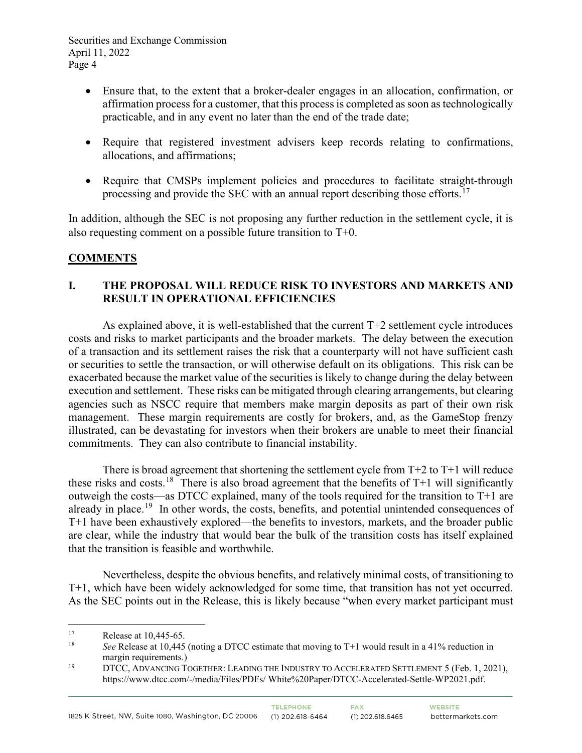- Ensure that, to the extent that a broker-dealer engages in an allocation, confirmation, or affirmation process for a customer, that this process is completed as soon as technologically practicable, and in any event no later than the end of the trade date;
- Require that registered investment advisers keep records relating to confirmations, allocations, and affirmations;
- Require that CMSPs implement policies and procedures to facilitate straight-through processing and provide the SEC with an annual report describing those efforts.<sup>[17](#page-3-0)</sup>

In addition, although the SEC is not proposing any further reduction in the settlement cycle, it is also requesting comment on a possible future transition to T+0.

# **COMMENTS**

## **I. THE PROPOSAL WILL REDUCE RISK TO INVESTORS AND MARKETS AND RESULT IN OPERATIONAL EFFICIENCIES**

As explained above, it is well-established that the current  $T+2$  settlement cycle introduces costs and risks to market participants and the broader markets. The delay between the execution of a transaction and its settlement raises the risk that a counterparty will not have sufficient cash or securities to settle the transaction, or will otherwise default on its obligations. This risk can be exacerbated because the market value of the securities is likely to change during the delay between execution and settlement. These risks can be mitigated through clearing arrangements, but clearing agencies such as NSCC require that members make margin deposits as part of their own risk management. These margin requirements are costly for brokers, and, as the GameStop frenzy illustrated, can be devastating for investors when their brokers are unable to meet their financial commitments. They can also contribute to financial instability.

There is broad agreement that shortening the settlement cycle from  $T+2$  to  $T+1$  will reduce these risks and costs.<sup>18</sup> There is also broad agreement that the benefits of  $T+1$  will significantly outweigh the costs—as DTCC explained, many of the tools required for the transition to T+1 are already in place.<sup>19</sup> In other words, the costs, benefits, and potential unintended consequences of T+1 have been exhaustively explored—the benefits to investors, markets, and the broader public are clear, while the industry that would bear the bulk of the transition costs has itself explained that the transition is feasible and worthwhile.

Nevertheless, despite the obvious benefits, and relatively minimal costs, of transitioning to T+1, which have been widely acknowledged for some time, that transition has not yet occurred. As the SEC points out in the Release, this is likely because "when every market participant must

<span id="page-3-1"></span><span id="page-3-0"></span><sup>&</sup>lt;sup>17</sup> Release at 10,445-65.<br><sup>18</sup> See Release at 10,445

See Release at 10,445 (noting a DTCC estimate that moving to T+1 would result in a 41% reduction in

<span id="page-3-2"></span>margin requirements.)<br>DTCC, ADVANCING TOGETHER: LEADING THE INDUSTRY TO ACCELERATED SETTLEMENT 5 (Feb. 1, 2021), https://www.dtcc.com/-/media/Files/PDFs/ White%20Paper/DTCC-Accelerated-Settle-WP2021.pdf.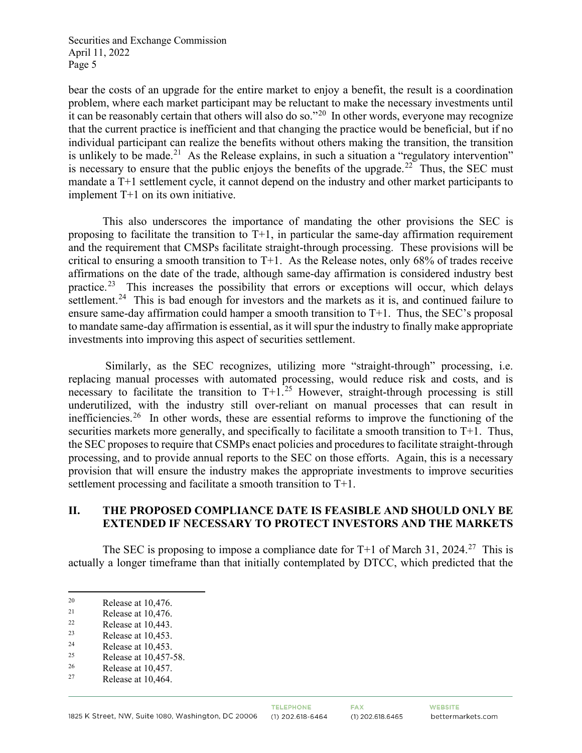bear the costs of an upgrade for the entire market to enjoy a benefit, the result is a coordination problem, where each market participant may be reluctant to make the necessary investments until it can be reasonably certain that others will also do so."[20](#page-4-0) In other words, everyone may recognize that the current practice is inefficient and that changing the practice would be beneficial, but if no individual participant can realize the benefits without others making the transition, the transition is unlikely to be made.<sup>21</sup> As the Release explains, in such a situation a "regulatory intervention" is necessary to ensure that the public enjoys the benefits of the upgrade.<sup>[22](#page-4-2)</sup> Thus, the SEC must mandate a T+1 settlement cycle, it cannot depend on the industry and other market participants to implement T+1 on its own initiative.

This also underscores the importance of mandating the other provisions the SEC is proposing to facilitate the transition to  $T+1$ , in particular the same-day affirmation requirement and the requirement that CMSPs facilitate straight-through processing. These provisions will be critical to ensuring a smooth transition to  $T+1$ . As the Release notes, only 68% of trades receive affirmations on the date of the trade, although same-day affirmation is considered industry best practice.<sup>23</sup> This increases the possibility that errors or exceptions will occur, which delays settlement.<sup>24</sup> This is bad enough for investors and the markets as it is, and continued failure to ensure same-day affirmation could hamper a smooth transition to T+1. Thus, the SEC's proposal to mandate same-day affirmation is essential, as it will spur the industry to finally make appropriate investments into improving this aspect of securities settlement.

Similarly, as the SEC recognizes, utilizing more "straight-through" processing, i.e. replacing manual processes with automated processing, would reduce risk and costs, and is necessary to facilitate the transition to  $T+1$ <sup>[25](#page-4-5)</sup> However, straight-through processing is still underutilized, with the industry still over-reliant on manual processes that can result in inefficiencies.<sup>[26](#page-4-6)</sup> In other words, these are essential reforms to improve the functioning of the securities markets more generally, and specifically to facilitate a smooth transition to T+1. Thus, the SEC proposes to require that CSMPs enact policies and procedures to facilitate straight-through processing, and to provide annual reports to the SEC on those efforts. Again, this is a necessary provision that will ensure the industry makes the appropriate investments to improve securities settlement processing and facilitate a smooth transition to T+1.

#### **II. THE PROPOSED COMPLIANCE DATE IS FEASIBLE AND SHOULD ONLY BE EXTENDED IF NECESSARY TO PROTECT INVESTORS AND THE MARKETS**

The SEC is proposing to impose a compliance date for  $T+1$  of March 31, 2024.<sup>[27](#page-4-7)</sup> This is actually a longer timeframe than that initially contemplated by DTCC, which predicted that the

<span id="page-4-0"></span><sup>&</sup>lt;sup>20</sup> Release at 10,476.<br><sup>21</sup> Release at 10,476.<br><sup>22</sup> Release at 10,443

<span id="page-4-1"></span>

<span id="page-4-2"></span> $\frac{22}{23}$  Release at 10,443.

<span id="page-4-3"></span><sup>&</sup>lt;sup>23</sup> Release at 10,453.<br>Release at 10.453

<span id="page-4-4"></span> $\frac{24}{25}$  Release at 10,453. <sup>25</sup> Release at 10,457-58.<br> $R_{\text{26}}$  Release at 10.457

<span id="page-4-6"></span><span id="page-4-5"></span> $\frac{26}{27}$  Release at 10,457.

<span id="page-4-7"></span>Release at 10,464.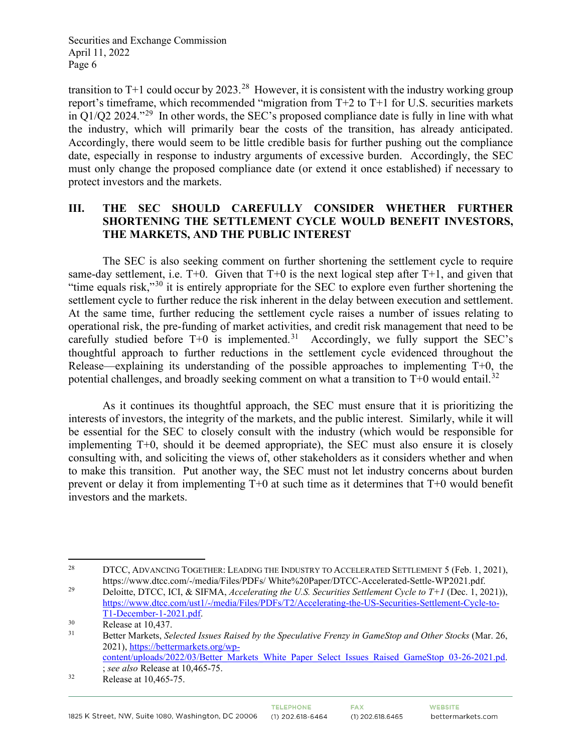transition to T+1 could occur by 2023.<sup>28</sup> However, it is consistent with the industry working group report's timeframe, which recommended "migration from T+2 to T+1 for U.S. securities markets in Q1/Q2 2024."[29](#page-5-1) In other words, the SEC's proposed compliance date is fully in line with what the industry, which will primarily bear the costs of the transition, has already anticipated. Accordingly, there would seem to be little credible basis for further pushing out the compliance date, especially in response to industry arguments of excessive burden. Accordingly, the SEC must only change the proposed compliance date (or extend it once established) if necessary to protect investors and the markets.

## **III. THE SEC SHOULD CAREFULLY CONSIDER WHETHER FURTHER SHORTENING THE SETTLEMENT CYCLE WOULD BENEFIT INVESTORS, THE MARKETS, AND THE PUBLIC INTEREST**

The SEC is also seeking comment on further shortening the settlement cycle to require same-day settlement, i.e.  $T+0$ . Given that  $T+0$  is the next logical step after  $T+1$ , and given that "time equals risk,"<sup>[30](#page-5-2)</sup> it is entirely appropriate for the SEC to explore even further shortening the settlement cycle to further reduce the risk inherent in the delay between execution and settlement. At the same time, further reducing the settlement cycle raises a number of issues relating to operational risk, the pre-funding of market activities, and credit risk management that need to be carefully studied before  $T+0$  is implemented.<sup>[31](#page-5-3)</sup> Accordingly, we fully support the SEC's thoughtful approach to further reductions in the settlement cycle evidenced throughout the Release—explaining its understanding of the possible approaches to implementing T+0, the potential challenges, and broadly seeking comment on what a transition to  $T+0$  would entail.<sup>32</sup>

As it continues its thoughtful approach, the SEC must ensure that it is prioritizing the interests of investors, the integrity of the markets, and the public interest. Similarly, while it will be essential for the SEC to closely consult with the industry (which would be responsible for implementing T+0, should it be deemed appropriate), the SEC must also ensure it is closely consulting with, and soliciting the views of, other stakeholders as it considers whether and when to make this transition. Put another way, the SEC must not let industry concerns about burden prevent or delay it from implementing T+0 at such time as it determines that T+0 would benefit investors and the markets.

<span id="page-5-0"></span><sup>&</sup>lt;sup>28</sup> DTCC, ADVANCING TOGETHER: LEADING THE INDUSTRY TO ACCELERATED SETTLEMENT 5 (Feb. 1, 2021),

<span id="page-5-1"></span>https://www.dtcc.com/-/media/Files/PDFs/ White%20Paper/DTCC-Accelerated-Settle-WP2021.pdf. 29 Deloitte, DTCC, ICI, & SIFMA, *Accelerating the U.S. Securities Settlement Cycle to T+1* (Dec. 1, 2021)), [https://www.dtcc.com/ust1/-/media/Files/PDFs/T2/Accelerating-the-US-Securities-Settlement-Cycle-to-](https://www.dtcc.com/ust1/-/media/Files/PDFs/T2/Accelerating-the-US-Securities-Settlement-Cycle-to-T1-December-1-2021.pdf)[T1-December-1-2021.pdf.](https://www.dtcc.com/ust1/-/media/Files/PDFs/T2/Accelerating-the-US-Securities-Settlement-Cycle-to-T1-December-1-2021.pdf)<br>
Release at 10,437.<br>
Better Meritte, Selected In

<span id="page-5-2"></span>

<span id="page-5-3"></span><sup>31</sup> Better Markets, *Selected Issues Raised by the Speculative Frenzy in GameStop and Other Stocks* (Mar. 26, 2021), [https://bettermarkets.org/wp](https://bettermarkets.org/wp-content/uploads/2022/03/Better_Markets_White_Paper_Select_Issues_Raised_GameStop_03-26-2021.pd)[content/uploads/2022/03/Better\\_Markets\\_White\\_Paper\\_Select\\_Issues\\_Raised\\_GameStop\\_03-26-2021.pd.](https://bettermarkets.org/wp-content/uploads/2022/03/Better_Markets_White_Paper_Select_Issues_Raised_GameStop_03-26-2021.pd)

<span id="page-5-4"></span><sup>;</sup> *see also* Release at 10,465-75. 32 Release at 10,465-75.